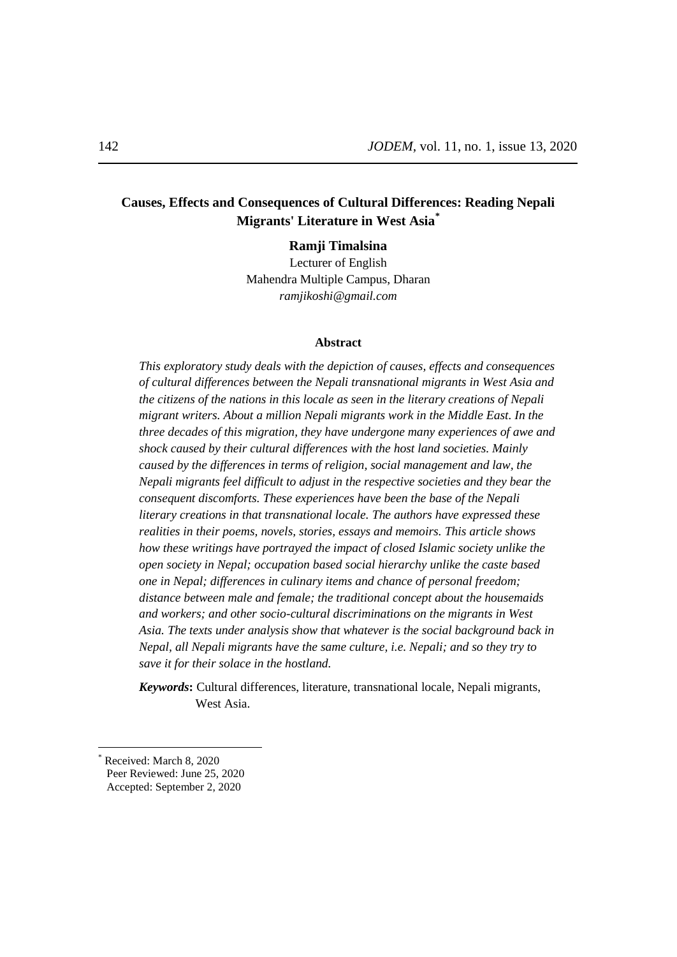# **Causes, Effects and Consequences of Cultural Differences: Reading Nepali Migrants' Literature in West Asia\***

**Ramji Timalsina** Lecturer of English Mahendra Multiple Campus, Dharan

*ramjikoshi@gmail.com*

## **Abstract**

*This exploratory study deals with the depiction of causes, effects and consequences of cultural differences between the Nepali transnational migrants in West Asia and the citizens of the nations in this locale as seen in the literary creations of Nepali migrant writers. About a million Nepali migrants work in the Middle East. In the three decades of this migration, they have undergone many experiences of awe and shock caused by their cultural differences with the host land societies. Mainly caused by the differences in terms of religion, social management and law, the Nepali migrants feel difficult to adjust in the respective societies and they bear the consequent discomforts. These experiences have been the base of the Nepali literary creations in that transnational locale. The authors have expressed these realities in their poems, novels, stories, essays and memoirs. This article shows how these writings have portrayed the impact of closed Islamic society unlike the open society in Nepal; occupation based social hierarchy unlike the caste based one in Nepal; differences in culinary items and chance of personal freedom; distance between male and female; the traditional concept about the housemaids and workers; and other socio-cultural discriminations on the migrants in West Asia. The texts under analysis show that whatever is the social background back in Nepal, all Nepali migrants have the same culture, i.e. Nepali; and so they try to save it for their solace in the hostland.* 

*Keywords***:** Cultural differences, literature, transnational locale, Nepali migrants, West Asia.

 $\overline{a}$ 

Received: March 8, 2020 Peer Reviewed: June 25, 2020 Accepted: September 2, 2020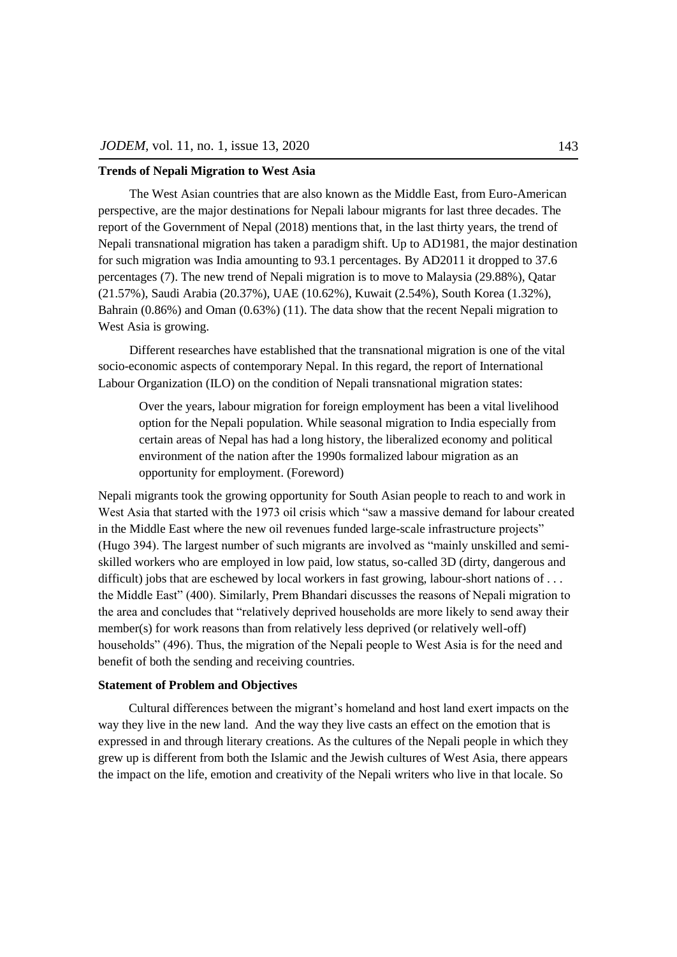#### **Trends of Nepali Migration to West Asia**

The West Asian countries that are also known as the Middle East, from Euro-American perspective, are the major destinations for Nepali labour migrants for last three decades. The report of the Government of Nepal (2018) mentions that, in the last thirty years, the trend of Nepali transnational migration has taken a paradigm shift. Up to AD1981, the major destination for such migration was India amounting to 93.1 percentages. By AD2011 it dropped to 37.6 percentages (7). The new trend of Nepali migration is to move to Malaysia (29.88%), Qatar (21.57%), Saudi Arabia (20.37%), UAE (10.62%), Kuwait (2.54%), South Korea (1.32%), Bahrain (0.86%) and Oman (0.63%) (11). The data show that the recent Nepali migration to West Asia is growing.

Different researches have established that the transnational migration is one of the vital socio-economic aspects of contemporary Nepal. In this regard, the report of International Labour Organization (ILO) on the condition of Nepali transnational migration states:

Over the years, labour migration for foreign employment has been a vital livelihood option for the Nepali population. While seasonal migration to India especially from certain areas of Nepal has had a long history, the liberalized economy and political environment of the nation after the 1990s formalized labour migration as an opportunity for employment. (Foreword)

Nepali migrants took the growing opportunity for South Asian people to reach to and work in West Asia that started with the 1973 oil crisis which "saw a massive demand for labour created in the Middle East where the new oil revenues funded large-scale infrastructure projects" (Hugo 394). The largest number of such migrants are involved as "mainly unskilled and semiskilled workers who are employed in low paid, low status, so-called 3D (dirty, dangerous and difficult) jobs that are eschewed by local workers in fast growing, labour-short nations of ... the Middle East" (400). Similarly, Prem Bhandari discusses the reasons of Nepali migration to the area and concludes that "relatively deprived households are more likely to send away their member(s) for work reasons than from relatively less deprived (or relatively well-off) households" (496). Thus, the migration of the Nepali people to West Asia is for the need and benefit of both the sending and receiving countries.

#### **Statement of Problem and Objectives**

Cultural differences between the migrant's homeland and host land exert impacts on the way they live in the new land. And the way they live casts an effect on the emotion that is expressed in and through literary creations. As the cultures of the Nepali people in which they grew up is different from both the Islamic and the Jewish cultures of West Asia, there appears the impact on the life, emotion and creativity of the Nepali writers who live in that locale. So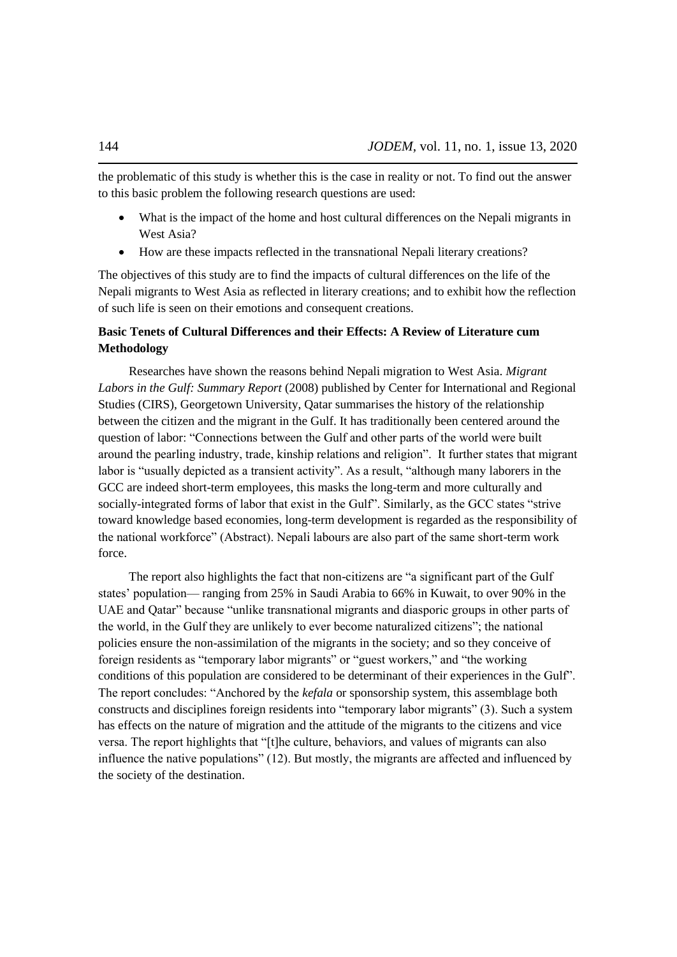the problematic of this study is whether this is the case in reality or not. To find out the answer to this basic problem the following research questions are used:

- What is the impact of the home and host cultural differences on the Nepali migrants in West Asia?
- How are these impacts reflected in the transnational Nepali literary creations?

The objectives of this study are to find the impacts of cultural differences on the life of the Nepali migrants to West Asia as reflected in literary creations; and to exhibit how the reflection of such life is seen on their emotions and consequent creations.

## **Basic Tenets of Cultural Differences and their Effects: A Review of Literature cum Methodology**

Researches have shown the reasons behind Nepali migration to West Asia. *Migrant Labors in the Gulf: Summary Report* (2008) published by Center for International and Regional Studies (CIRS), Georgetown University, Qatar summarises the history of the relationship between the citizen and the migrant in the Gulf. It has traditionally been centered around the question of labor: "Connections between the Gulf and other parts of the world were built around the pearling industry, trade, kinship relations and religion". It further states that migrant labor is "usually depicted as a transient activity". As a result, "although many laborers in the GCC are indeed short-term employees, this masks the long-term and more culturally and socially-integrated forms of labor that exist in the Gulf". Similarly, as the GCC states "strive" toward knowledge based economies, long-term development is regarded as the responsibility of the national workforce" (Abstract). Nepali labours are also part of the same short-term work force.

The report also highlights the fact that non-citizens are "a significant part of the Gulf states' population— ranging from 25% in Saudi Arabia to 66% in Kuwait, to over 90% in the UAE and Qatar" because "unlike transnational migrants and diasporic groups in other parts of the world, in the Gulf they are unlikely to ever become naturalized citizens"; the national policies ensure the non-assimilation of the migrants in the society; and so they conceive of foreign residents as "temporary labor migrants" or "guest workers," and "the working conditions of this population are considered to be determinant of their experiences in the Gulf'. The report concludes: "Anchored by the *kefala* or sponsorship system, this assemblage both constructs and disciplines foreign residents into "temporary labor migrants" (3). Such a system has effects on the nature of migration and the attitude of the migrants to the citizens and vice versa. The report highlights that "[t]he culture, behaviors, and values of migrants can also influence the native populations"  $(12)$ . But mostly, the migrants are affected and influenced by the society of the destination.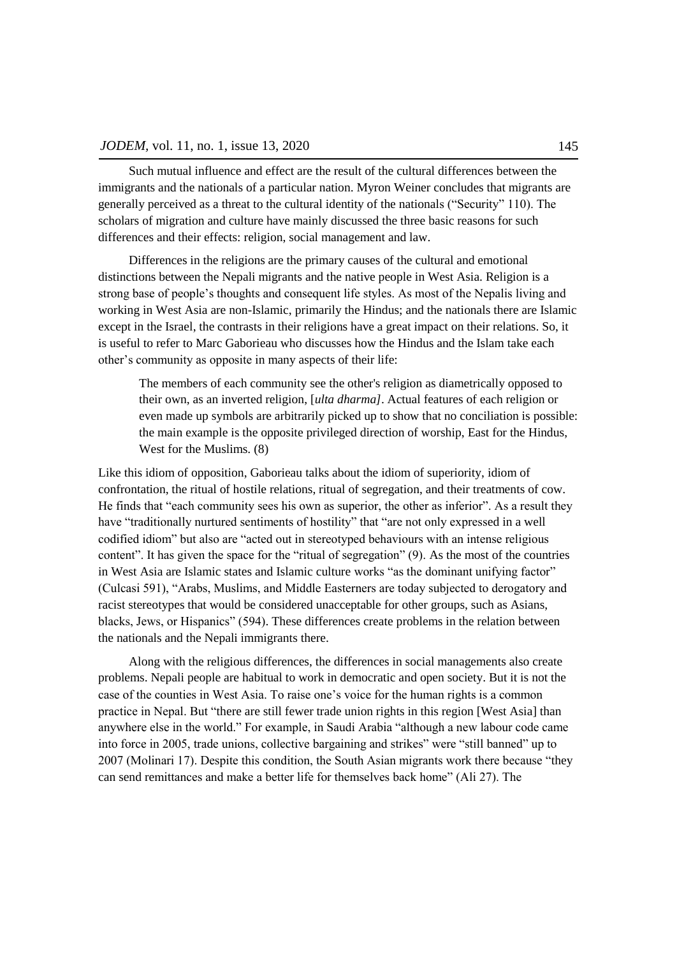Such mutual influence and effect are the result of the cultural differences between the immigrants and the nationals of a particular nation. Myron Weiner concludes that migrants are generally perceived as a threat to the cultural identity of the nationals ("Security" 110). The scholars of migration and culture have mainly discussed the three basic reasons for such differences and their effects: religion, social management and law.

Differences in the religions are the primary causes of the cultural and emotional distinctions between the Nepali migrants and the native people in West Asia. Religion is a strong base of people's thoughts and consequent life styles. As most of the Nepalis living and working in West Asia are non-Islamic, primarily the Hindus; and the nationals there are Islamic except in the Israel, the contrasts in their religions have a great impact on their relations. So, it is useful to refer to Marc Gaborieau who discusses how the Hindus and the Islam take each other's community as opposite in many aspects of their life:

The members of each community see the other's religion as diametrically opposed to their own, as an inverted religion, [*ulta dharma]*. Actual features of each religion or even made up symbols are arbitrarily picked up to show that no conciliation is possible: the main example is the opposite privileged direction of worship, East for the Hindus, West for the Muslims. (8)

Like this idiom of opposition, Gaborieau talks about the idiom of superiority, idiom of confrontation, the ritual of hostile relations, ritual of segregation, and their treatments of cow. He finds that "each community sees his own as superior, the other as inferior". As a result they have "traditionally nurtured sentiments of hostility" that "are not only expressed in a well codified idiom" but also are "acted out in stereotyped behaviours with an intense religious content". It has given the space for the "ritual of segregation"  $(9)$ . As the most of the countries in West Asia are Islamic states and Islamic culture works "as the dominant unifying factor" (Culcasi 591), "Arabs, Muslims, and Middle Easterners are today subjected to derogatory and racist stereotypes that would be considered unacceptable for other groups, such as Asians, blacks, Jews, or Hispanics" (594). These differences create problems in the relation between the nationals and the Nepali immigrants there.

Along with the religious differences, the differences in social managements also create problems. Nepali people are habitual to work in democratic and open society. But it is not the case of the counties in West Asia. To raise one's voice for the human rights is a common practice in Nepal. But "there are still fewer trade union rights in this region [West Asia] than anywhere else in the world." For example, in Saudi Arabia "although a new labour code came into force in 2005, trade unions, collective bargaining and strikes" were "still banned" up to 2007 (Molinari 17). Despite this condition, the South Asian migrants work there because "they can send remittances and make a better life for themselves back home" (Ali 27). The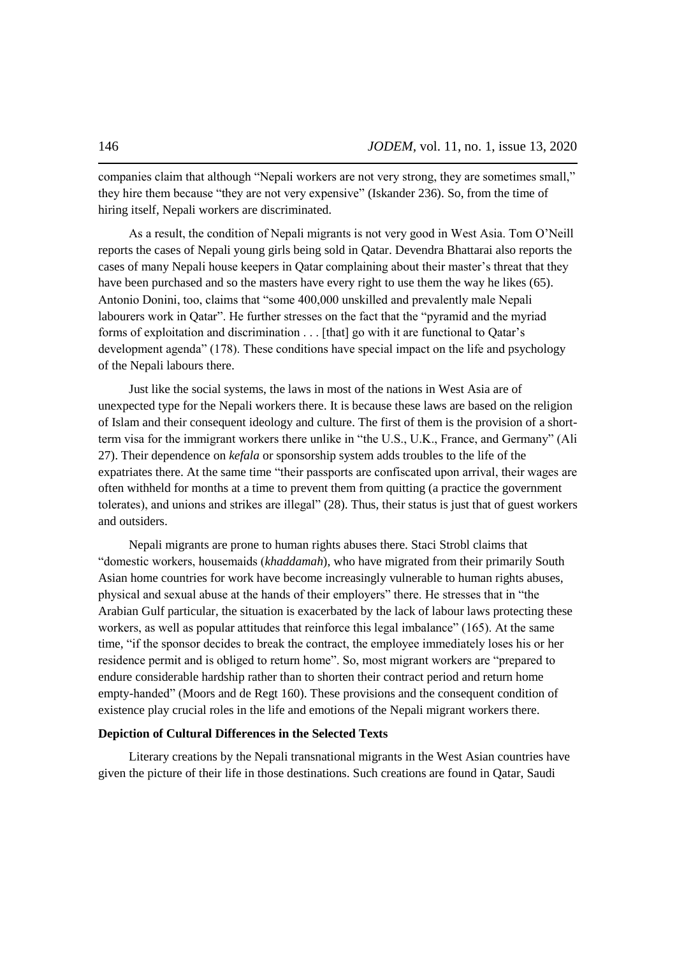companies claim that although "Nepali workers are not very strong, they are sometimes small," they hire them because "they are not very expensive" (Iskander 236). So, from the time of hiring itself, Nepali workers are discriminated.

As a result, the condition of Nepali migrants is not very good in West Asia. Tom O'Neill reports the cases of Nepali young girls being sold in Qatar. Devendra Bhattarai also reports the cases of many Nepali house keepers in Qatar complaining about their master's threat that they have been purchased and so the masters have every right to use them the way he likes (65). Antonio Donini, too, claims that "some 400,000 unskilled and prevalently male Nepali labourers work in Qatar". He further stresses on the fact that the "pyramid and the myriad forms of exploitation and discrimination . . . [that] go with it are functional to Qatar's development agenda" (178). These conditions have special impact on the life and psychology of the Nepali labours there.

Just like the social systems, the laws in most of the nations in West Asia are of unexpected type for the Nepali workers there. It is because these laws are based on the religion of Islam and their consequent ideology and culture. The first of them is the provision of a shortterm visa for the immigrant workers there unlike in "the U.S., U.K., France, and Germany" (Ali 27). Their dependence on *kefala* or sponsorship system adds troubles to the life of the expatriates there. At the same time "their passports are confiscated upon arrival, their wages are often withheld for months at a time to prevent them from quitting (a practice the government tolerates), and unions and strikes are illegal" (28). Thus, their status is just that of guest workers and outsiders.

Nepali migrants are prone to human rights abuses there. Staci Strobl claims that "domestic workers, housemaids *(khaddamah)*, who have migrated from their primarily South Asian home countries for work have become increasingly vulnerable to human rights abuses, physical and sexual abuse at the hands of their employers" there. He stresses that in "the Arabian Gulf particular, the situation is exacerbated by the lack of labour laws protecting these workers, as well as popular attitudes that reinforce this legal imbalance" (165). At the same time, "if the sponsor decides to break the contract, the employee immediately loses his or her residence permit and is obliged to return home". So, most migrant workers are "prepared to endure considerable hardship rather than to shorten their contract period and return home empty-handed" (Moors and de Regt 160). These provisions and the consequent condition of existence play crucial roles in the life and emotions of the Nepali migrant workers there.

#### **Depiction of Cultural Differences in the Selected Texts**

Literary creations by the Nepali transnational migrants in the West Asian countries have given the picture of their life in those destinations. Such creations are found in Qatar, Saudi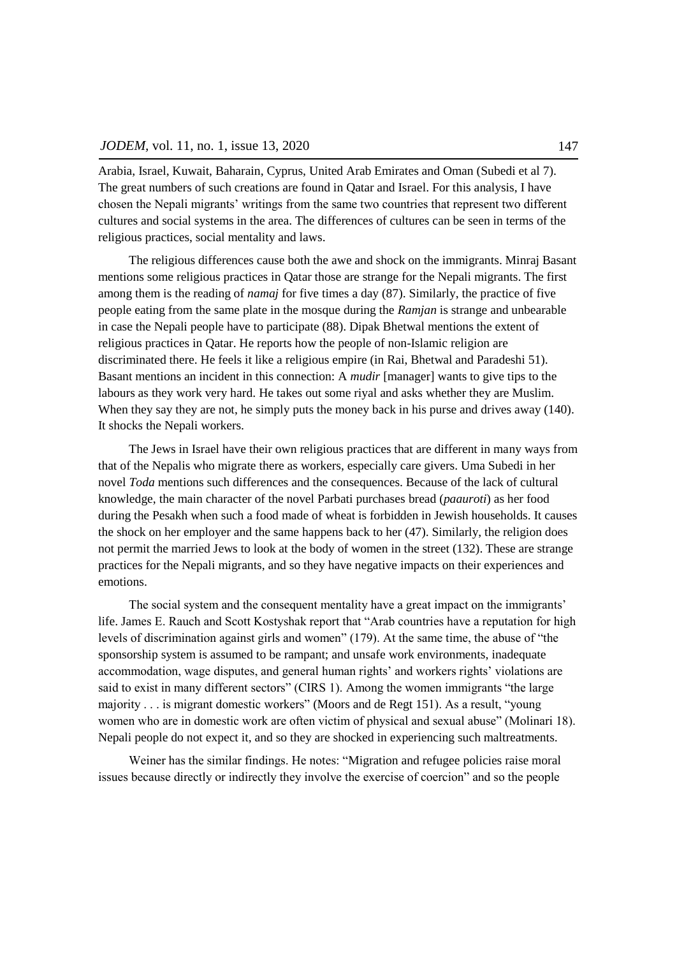Arabia, Israel, Kuwait, Baharain, Cyprus, United Arab Emirates and Oman (Subedi et al 7). The great numbers of such creations are found in Qatar and Israel. For this analysis, I have chosen the Nepali migrants' writings from the same two countries that represent two different cultures and social systems in the area. The differences of cultures can be seen in terms of the religious practices, social mentality and laws.

The religious differences cause both the awe and shock on the immigrants. Minraj Basant mentions some religious practices in Qatar those are strange for the Nepali migrants. The first among them is the reading of *namaj* for five times a day (87). Similarly, the practice of five people eating from the same plate in the mosque during the *Ramjan* is strange and unbearable in case the Nepali people have to participate (88). Dipak Bhetwal mentions the extent of religious practices in Qatar. He reports how the people of non-Islamic religion are discriminated there. He feels it like a religious empire (in Rai, Bhetwal and Paradeshi 51). Basant mentions an incident in this connection: A *mudir* [manager] wants to give tips to the labours as they work very hard. He takes out some riyal and asks whether they are Muslim. When they say they are not, he simply puts the money back in his purse and drives away (140). It shocks the Nepali workers.

The Jews in Israel have their own religious practices that are different in many ways from that of the Nepalis who migrate there as workers, especially care givers. Uma Subedi in her novel *Toda* mentions such differences and the consequences. Because of the lack of cultural knowledge, the main character of the novel Parbati purchases bread (*paauroti*) as her food during the Pesakh when such a food made of wheat is forbidden in Jewish households. It causes the shock on her employer and the same happens back to her (47). Similarly, the religion does not permit the married Jews to look at the body of women in the street (132). These are strange practices for the Nepali migrants, and so they have negative impacts on their experiences and emotions.

The social system and the consequent mentality have a great impact on the immigrants' life. James E. Rauch and Scott Kostyshak report that "Arab countries have a reputation for high levels of discrimination against girls and women" (179). At the same time, the abuse of "the sponsorship system is assumed to be rampant; and unsafe work environments, inadequate accommodation, wage disputes, and general human rights' and workers rights' violations are said to exist in many different sectors" (CIRS 1). Among the women immigrants "the large majority  $\dots$  is migrant domestic workers" (Moors and de Regt 151). As a result, "young women who are in domestic work are often victim of physical and sexual abuse" (Molinari 18). Nepali people do not expect it, and so they are shocked in experiencing such maltreatments.

Weiner has the similar findings. He notes: "Migration and refugee policies raise moral issues because directly or indirectly they involve the exercise of coercion" and so the people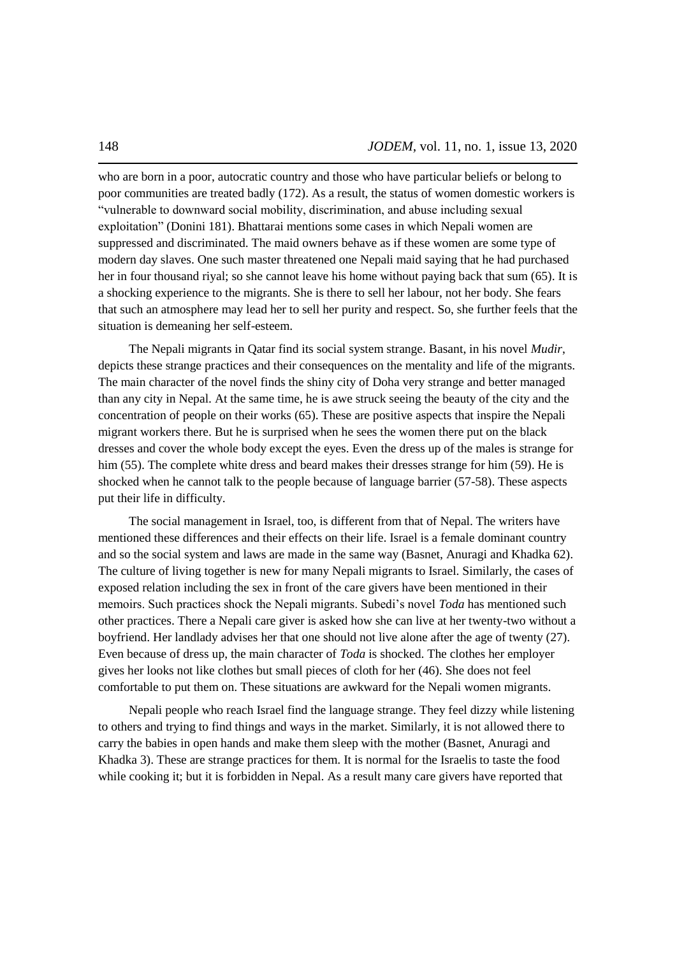who are born in a poor, autocratic country and those who have particular beliefs or belong to poor communities are treated badly (172). As a result, the status of women domestic workers is ―vulnerable to downward social mobility, discrimination, and abuse including sexual exploitation‖ (Donini 181). Bhattarai mentions some cases in which Nepali women are suppressed and discriminated. The maid owners behave as if these women are some type of modern day slaves. One such master threatened one Nepali maid saying that he had purchased her in four thousand riyal; so she cannot leave his home without paying back that sum (65). It is a shocking experience to the migrants. She is there to sell her labour, not her body. She fears that such an atmosphere may lead her to sell her purity and respect. So, she further feels that the situation is demeaning her self-esteem.

The Nepali migrants in Qatar find its social system strange. Basant, in his novel *Mudir*, depicts these strange practices and their consequences on the mentality and life of the migrants. The main character of the novel finds the shiny city of Doha very strange and better managed than any city in Nepal. At the same time, he is awe struck seeing the beauty of the city and the concentration of people on their works (65). These are positive aspects that inspire the Nepali migrant workers there. But he is surprised when he sees the women there put on the black dresses and cover the whole body except the eyes. Even the dress up of the males is strange for him (55). The complete white dress and beard makes their dresses strange for him (59). He is shocked when he cannot talk to the people because of language barrier (57-58). These aspects put their life in difficulty.

The social management in Israel, too, is different from that of Nepal. The writers have mentioned these differences and their effects on their life. Israel is a female dominant country and so the social system and laws are made in the same way (Basnet, Anuragi and Khadka 62). The culture of living together is new for many Nepali migrants to Israel. Similarly, the cases of exposed relation including the sex in front of the care givers have been mentioned in their memoirs. Such practices shock the Nepali migrants. Subedi's novel *Toda* has mentioned such other practices. There a Nepali care giver is asked how she can live at her twenty-two without a boyfriend. Her landlady advises her that one should not live alone after the age of twenty (27). Even because of dress up, the main character of *Toda* is shocked. The clothes her employer gives her looks not like clothes but small pieces of cloth for her (46). She does not feel comfortable to put them on. These situations are awkward for the Nepali women migrants.

Nepali people who reach Israel find the language strange. They feel dizzy while listening to others and trying to find things and ways in the market. Similarly, it is not allowed there to carry the babies in open hands and make them sleep with the mother (Basnet, Anuragi and Khadka 3). These are strange practices for them. It is normal for the Israelis to taste the food while cooking it; but it is forbidden in Nepal. As a result many care givers have reported that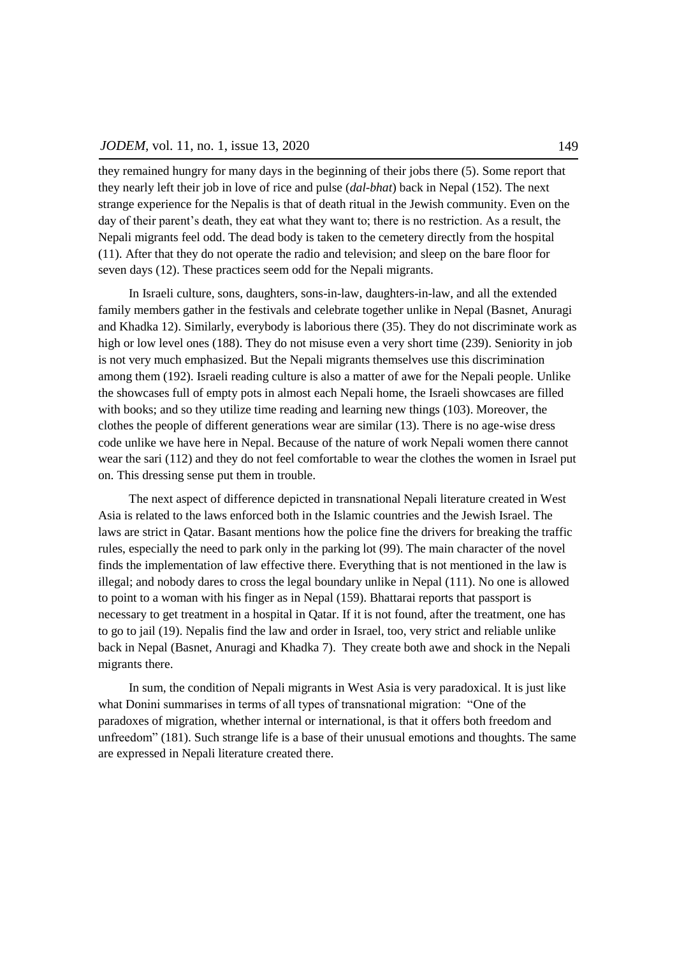they remained hungry for many days in the beginning of their jobs there (5). Some report that they nearly left their job in love of rice and pulse (*dal-bhat*) back in Nepal (152). The next strange experience for the Nepalis is that of death ritual in the Jewish community. Even on the day of their parent's death, they eat what they want to; there is no restriction. As a result, the Nepali migrants feel odd. The dead body is taken to the cemetery directly from the hospital (11). After that they do not operate the radio and television; and sleep on the bare floor for seven days (12). These practices seem odd for the Nepali migrants.

In Israeli culture, sons, daughters, sons-in-law, daughters-in-law, and all the extended family members gather in the festivals and celebrate together unlike in Nepal (Basnet, Anuragi and Khadka 12). Similarly, everybody is laborious there (35). They do not discriminate work as high or low level ones (188). They do not misuse even a very short time (239). Seniority in job is not very much emphasized. But the Nepali migrants themselves use this discrimination among them (192). Israeli reading culture is also a matter of awe for the Nepali people. Unlike the showcases full of empty pots in almost each Nepali home, the Israeli showcases are filled with books; and so they utilize time reading and learning new things (103). Moreover, the clothes the people of different generations wear are similar (13). There is no age-wise dress code unlike we have here in Nepal. Because of the nature of work Nepali women there cannot wear the sari (112) and they do not feel comfortable to wear the clothes the women in Israel put on. This dressing sense put them in trouble.

The next aspect of difference depicted in transnational Nepali literature created in West Asia is related to the laws enforced both in the Islamic countries and the Jewish Israel. The laws are strict in Qatar. Basant mentions how the police fine the drivers for breaking the traffic rules, especially the need to park only in the parking lot (99). The main character of the novel finds the implementation of law effective there. Everything that is not mentioned in the law is illegal; and nobody dares to cross the legal boundary unlike in Nepal (111). No one is allowed to point to a woman with his finger as in Nepal (159). Bhattarai reports that passport is necessary to get treatment in a hospital in Qatar. If it is not found, after the treatment, one has to go to jail (19). Nepalis find the law and order in Israel, too, very strict and reliable unlike back in Nepal (Basnet, Anuragi and Khadka 7). They create both awe and shock in the Nepali migrants there.

In sum, the condition of Nepali migrants in West Asia is very paradoxical. It is just like what Donini summarises in terms of all types of transnational migration: "One of the paradoxes of migration, whether internal or international, is that it offers both freedom and unfreedom" (181). Such strange life is a base of their unusual emotions and thoughts. The same are expressed in Nepali literature created there.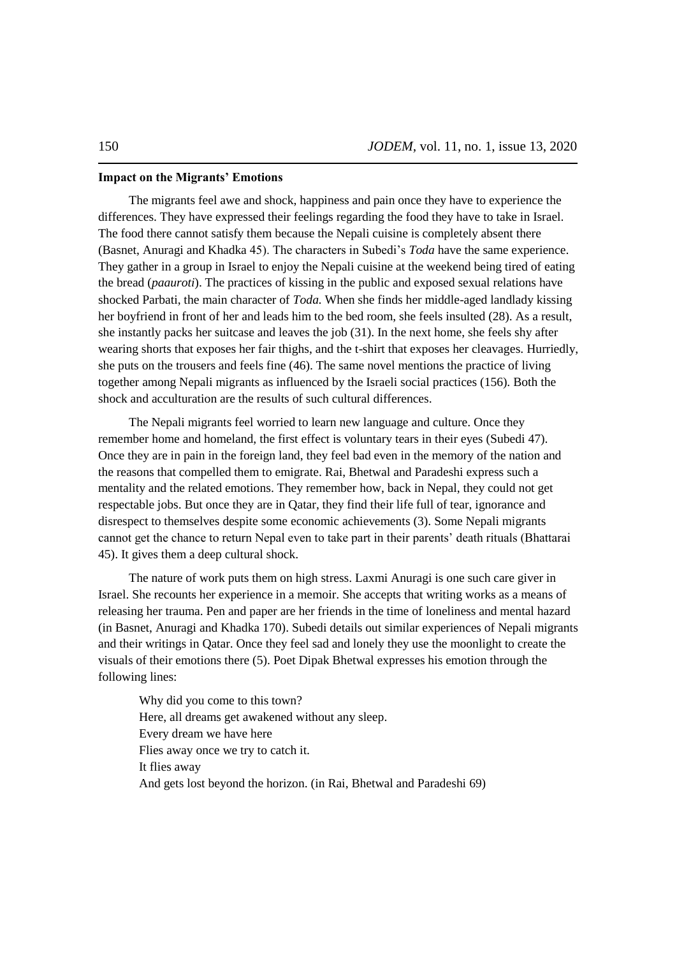## **Impact on the Migrants' Emotions**

The migrants feel awe and shock, happiness and pain once they have to experience the differences. They have expressed their feelings regarding the food they have to take in Israel. The food there cannot satisfy them because the Nepali cuisine is completely absent there (Basnet, Anuragi and Khadka 45). The characters in Subedi's *Toda* have the same experience. They gather in a group in Israel to enjoy the Nepali cuisine at the weekend being tired of eating the bread (*paauroti*). The practices of kissing in the public and exposed sexual relations have shocked Parbati, the main character of *Toda.* When she finds her middle-aged landlady kissing her boyfriend in front of her and leads him to the bed room, she feels insulted (28). As a result, she instantly packs her suitcase and leaves the job (31). In the next home, she feels shy after wearing shorts that exposes her fair thighs, and the t-shirt that exposes her cleavages. Hurriedly, she puts on the trousers and feels fine (46). The same novel mentions the practice of living together among Nepali migrants as influenced by the Israeli social practices (156). Both the shock and acculturation are the results of such cultural differences.

The Nepali migrants feel worried to learn new language and culture. Once they remember home and homeland, the first effect is voluntary tears in their eyes (Subedi 47). Once they are in pain in the foreign land, they feel bad even in the memory of the nation and the reasons that compelled them to emigrate. Rai, Bhetwal and Paradeshi express such a mentality and the related emotions. They remember how, back in Nepal, they could not get respectable jobs. But once they are in Qatar, they find their life full of tear, ignorance and disrespect to themselves despite some economic achievements (3). Some Nepali migrants cannot get the chance to return Nepal even to take part in their parents' death rituals (Bhattarai 45). It gives them a deep cultural shock.

The nature of work puts them on high stress. Laxmi Anuragi is one such care giver in Israel. She recounts her experience in a memoir. She accepts that writing works as a means of releasing her trauma. Pen and paper are her friends in the time of loneliness and mental hazard (in Basnet, Anuragi and Khadka 170). Subedi details out similar experiences of Nepali migrants and their writings in Qatar. Once they feel sad and lonely they use the moonlight to create the visuals of their emotions there (5). Poet Dipak Bhetwal expresses his emotion through the following lines:

Why did you come to this town? Here, all dreams get awakened without any sleep. Every dream we have here Flies away once we try to catch it. It flies away And gets lost beyond the horizon. (in Rai, Bhetwal and Paradeshi 69)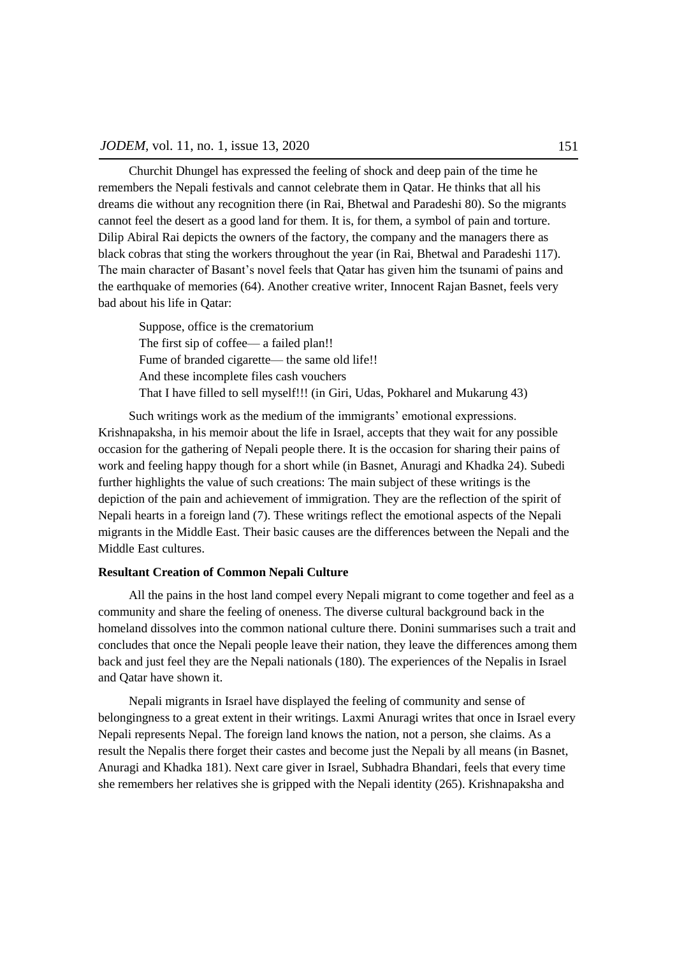Churchit Dhungel has expressed the feeling of shock and deep pain of the time he remembers the Nepali festivals and cannot celebrate them in Qatar. He thinks that all his dreams die without any recognition there (in Rai, Bhetwal and Paradeshi 80). So the migrants cannot feel the desert as a good land for them. It is, for them, a symbol of pain and torture. Dilip Abiral Rai depicts the owners of the factory, the company and the managers there as black cobras that sting the workers throughout the year (in Rai, Bhetwal and Paradeshi 117). The main character of Basant's novel feels that Qatar has given him the tsunami of pains and the earthquake of memories (64). Another creative writer, Innocent Rajan Basnet, feels very bad about his life in Qatar:

Suppose, office is the crematorium The first sip of coffee— a failed plan!! Fume of branded cigarette— the same old life!! And these incomplete files cash vouchers That I have filled to sell myself!!! (in Giri, Udas, Pokharel and Mukarung 43)

Such writings work as the medium of the immigrants' emotional expressions. Krishnapaksha, in his memoir about the life in Israel, accepts that they wait for any possible occasion for the gathering of Nepali people there. It is the occasion for sharing their pains of work and feeling happy though for a short while (in Basnet, Anuragi and Khadka 24). Subedi further highlights the value of such creations: The main subject of these writings is the depiction of the pain and achievement of immigration. They are the reflection of the spirit of Nepali hearts in a foreign land (7). These writings reflect the emotional aspects of the Nepali migrants in the Middle East. Their basic causes are the differences between the Nepali and the Middle East cultures.

## **Resultant Creation of Common Nepali Culture**

All the pains in the host land compel every Nepali migrant to come together and feel as a community and share the feeling of oneness. The diverse cultural background back in the homeland dissolves into the common national culture there. Donini summarises such a trait and concludes that once the Nepali people leave their nation, they leave the differences among them back and just feel they are the Nepali nationals (180). The experiences of the Nepalis in Israel and Qatar have shown it.

Nepali migrants in Israel have displayed the feeling of community and sense of belongingness to a great extent in their writings. Laxmi Anuragi writes that once in Israel every Nepali represents Nepal. The foreign land knows the nation, not a person, she claims. As a result the Nepalis there forget their castes and become just the Nepali by all means (in Basnet, Anuragi and Khadka 181). Next care giver in Israel, Subhadra Bhandari, feels that every time she remembers her relatives she is gripped with the Nepali identity (265). Krishnapaksha and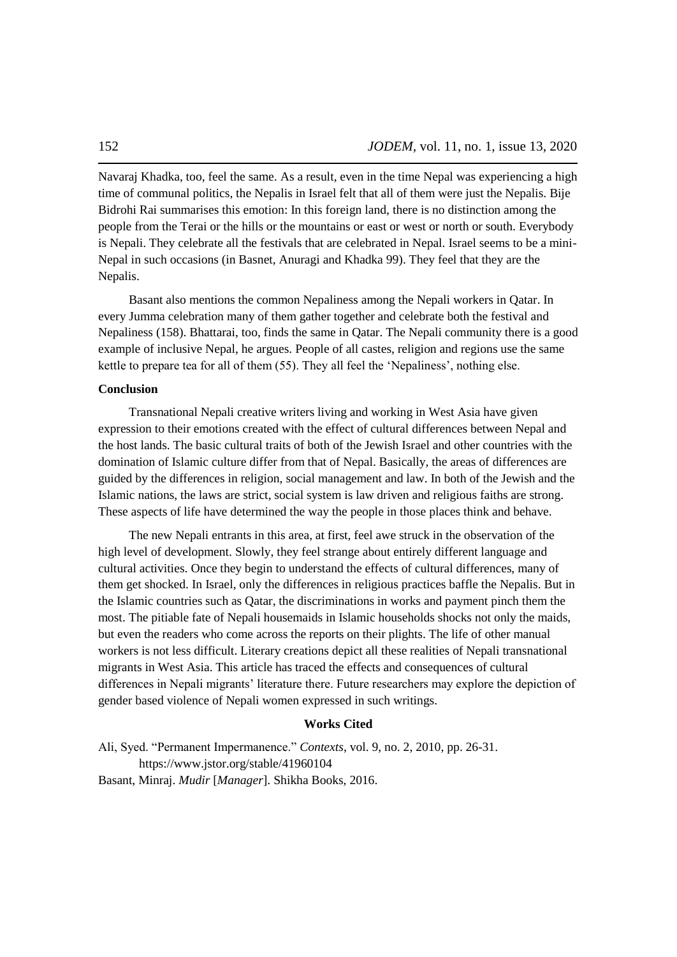Navaraj Khadka, too, feel the same. As a result, even in the time Nepal was experiencing a high time of communal politics, the Nepalis in Israel felt that all of them were just the Nepalis. Bije Bidrohi Rai summarises this emotion: In this foreign land, there is no distinction among the people from the Terai or the hills or the mountains or east or west or north or south. Everybody is Nepali. They celebrate all the festivals that are celebrated in Nepal. Israel seems to be a mini-Nepal in such occasions (in Basnet, Anuragi and Khadka 99). They feel that they are the Nepalis.

Basant also mentions the common Nepaliness among the Nepali workers in Qatar. In every Jumma celebration many of them gather together and celebrate both the festival and Nepaliness (158). Bhattarai, too, finds the same in Qatar. The Nepali community there is a good example of inclusive Nepal, he argues. People of all castes, religion and regions use the same kettle to prepare tea for all of them (55). They all feel the 'Nepaliness', nothing else.

### **Conclusion**

Transnational Nepali creative writers living and working in West Asia have given expression to their emotions created with the effect of cultural differences between Nepal and the host lands. The basic cultural traits of both of the Jewish Israel and other countries with the domination of Islamic culture differ from that of Nepal. Basically, the areas of differences are guided by the differences in religion, social management and law. In both of the Jewish and the Islamic nations, the laws are strict, social system is law driven and religious faiths are strong. These aspects of life have determined the way the people in those places think and behave.

The new Nepali entrants in this area, at first, feel awe struck in the observation of the high level of development. Slowly, they feel strange about entirely different language and cultural activities. Once they begin to understand the effects of cultural differences, many of them get shocked. In Israel, only the differences in religious practices baffle the Nepalis. But in the Islamic countries such as Qatar, the discriminations in works and payment pinch them the most. The pitiable fate of Nepali housemaids in Islamic households shocks not only the maids, but even the readers who come across the reports on their plights. The life of other manual workers is not less difficult. Literary creations depict all these realities of Nepali transnational migrants in West Asia. This article has traced the effects and consequences of cultural differences in Nepali migrants' literature there. Future researchers may explore the depiction of gender based violence of Nepali women expressed in such writings.

## **Works Cited**

Ali, Syed. "Permanent Impermanence." *Contexts*, vol. 9, no. 2, 2010, pp. 26-31. https://www.jstor.org/stable/41960104 Basant, Minraj. *Mudir* [*Manager*]. Shikha Books, 2016.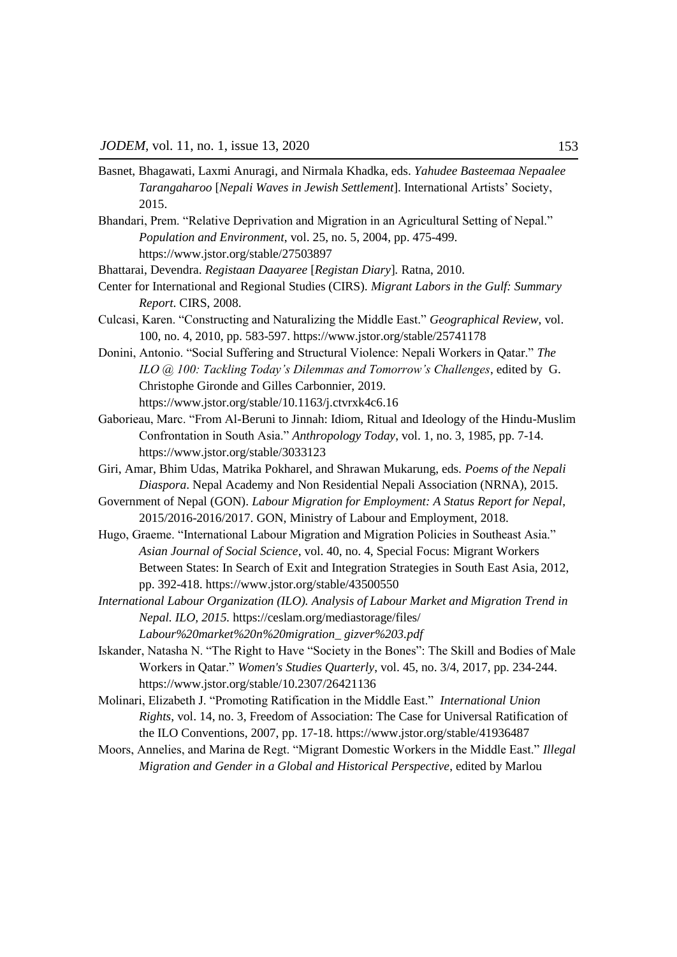- Basnet, Bhagawati, Laxmi Anuragi, and Nirmala Khadka, eds. *Yahudee Basteemaa Nepaalee Tarangaharoo* [*Nepali Waves in Jewish Settlement*]. International Artists' Society, 2015.
- Bhandari, Prem. "Relative Deprivation and Migration in an Agricultural Setting of Nepal." *Population and Environment*, vol. 25, no. 5, 2004, pp. 475-499. https://www.jstor.org/stable/27503897

Bhattarai, Devendra. *Registaan Daayaree* [*Registan Diary*]*.* Ratna, 2010.

- Center for International and Regional Studies (CIRS). *Migrant Labors in the Gulf: Summary Report*. CIRS, 2008.
- Culcasi, Karen. "Constructing and Naturalizing the Middle East." *Geographical Review*, vol. 100, no. 4, 2010, pp. 583-597. https://www.jstor.org/stable/25741178
- Donini, Antonio. "Social Suffering and Structural Violence: Nepali Workers in Qatar." The *ILO @ 100: Tackling Today"s Dilemmas and Tomorrow"s Challenges*, edited by G. Christophe Gironde and Gilles Carbonnier, 2019. https://www.jstor.org/stable/10.1163/j.ctvrxk4c6.16
- Gaborieau, Marc. "From Al-Beruni to Jinnah: Idiom, Ritual and Ideology of the Hindu-Muslim Confrontation in South Asia." *Anthropology Today*, vol. 1, no. 3, 1985, pp. 7-14. https://www.jstor.org/stable/3033123
- Giri, Amar, Bhim Udas, Matrika Pokharel, and Shrawan Mukarung, eds. *Poems of the Nepali Diaspora*. Nepal Academy and Non Residential Nepali Association (NRNA), 2015.
- Government of Nepal (GON). *Labour Migration for Employment: A Status Report for Nepal*, 2015/2016-2016/2017. GON, Ministry of Labour and Employment, 2018.
- Hugo, Graeme. "International Labour Migration and Migration Policies in Southeast Asia." *Asian Journal of Social Science*, vol. 40, no. 4, Special Focus: Migrant Workers Between States: In Search of Exit and Integration Strategies in South East Asia, 2012, pp. 392-418. https://www.jstor.org/stable/43500550
- *International Labour Organization (ILO). Analysis of Labour Market and Migration Trend in Nepal. ILO, 2015.* https://ceslam.org/mediastorage/files/ *Labour%20market%20n%20migration\_ gizver%203.pdf*
- Iskander, Natasha N. "The Right to Have "Society in the Bones": The Skill and Bodies of Male Workers in Qatar.‖ *Women's Studies Quarterly*, vol. 45, no. 3/4, 2017, pp. 234-244. https://www.jstor.org/stable/10.2307/26421136
- Molinari, Elizabeth J. "Promoting Ratification in the Middle East." *International Union Rights*, vol. 14, no. 3, Freedom of Association: The Case for Universal Ratification of the ILO Conventions, 2007, pp. 17-18. https://www.jstor.org/stable/41936487
- Moors, Annelies, and Marina de Regt. "Migrant Domestic Workers in the Middle East." *Illegal Migration and Gender in a Global and Historical Perspective*, edited by Marlou